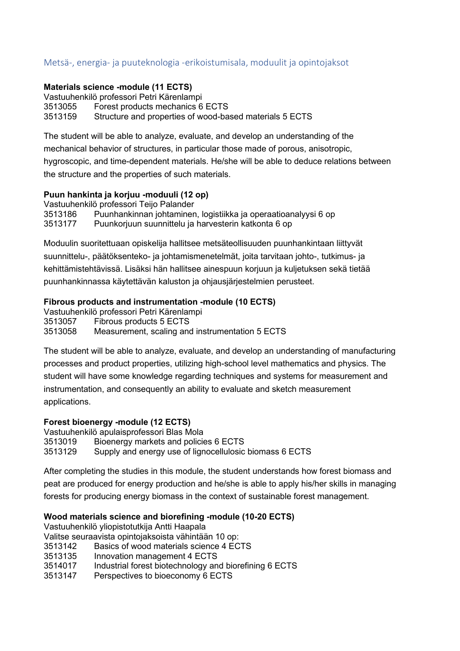# Metsä-, energia- ja puuteknologia -erikoistumisala, moduulit ja opintojaksot

#### **Materials science -module (11 ECTS)**

Vastuuhenkilö professori Petri Kärenlampi 3513055 Forest products mechanics 6 ECTS 3513159 Structure and properties of wood-based materials 5 ECTS

The student will be able to analyze, evaluate, and develop an understanding of the

mechanical behavior of structures, in particular those made of porous, anisotropic,

hygroscopic, and time-dependent materials. He/she will be able to deduce relations between the structure and the properties of such materials.

### **Puun hankinta ja korjuu -moduuli (12 op)**

Vastuuhenkilö professori Teijo Palander

3513186 Puunhankinnan johtaminen, logistiikka ja operaatioanalyysi 6 op Puunkorjuun suunnittelu ja harvesterin katkonta 6 op

Moduulin suoritettuaan opiskelija hallitsee metsäteollisuuden puunhankintaan liittyvät suunnittelu-, päätöksenteko- ja johtamismenetelmät, joita tarvitaan johto-, tutkimus- ja kehittämistehtävissä. Lisäksi hän hallitsee ainespuun korjuun ja kuljetuksen sekä tietää puunhankinnassa käytettävän kaluston ja ohjausjärjestelmien perusteet.

### **Fibrous products and instrumentation -module (10 ECTS)**

Vastuuhenkilö professori Petri Kärenlampi 3513057 Fibrous products 5 ECTS 3513058 Measurement, scaling and instrumentation 5 ECTS

The student will be able to analyze, evaluate, and develop an understanding of manufacturing processes and product properties, utilizing high-school level mathematics and physics. The student will have some knowledge regarding techniques and systems for measurement and instrumentation, and consequently an ability to evaluate and sketch measurement applications.

#### **Forest bioenergy -module (12 ECTS)**

Vastuuhenkilö apulaisprofessori Blas Mola 3513019 Bioenergy markets and policies 6 ECTS 3513129 Supply and energy use of lignocellulosic biomass 6 ECTS

After completing the studies in this module, the student understands how forest biomass and peat are produced for energy production and he/she is able to apply his/her skills in managing forests for producing energy biomass in the context of sustainable forest management.

## **Wood materials science and biorefining -module (10-20 ECTS)**

Vastuuhenkilö yliopistotutkija Antti Haapala

Valitse seuraavista opintojaksoista vähintään 10 op:

- 3513142 Basics of wood materials science 4 ECTS
- 3513135 Innovation management 4 ECTS
- 3514017 Industrial forest biotechnology and biorefining 6 ECTS
- 3513147 Perspectives to bioeconomy 6 ECTS